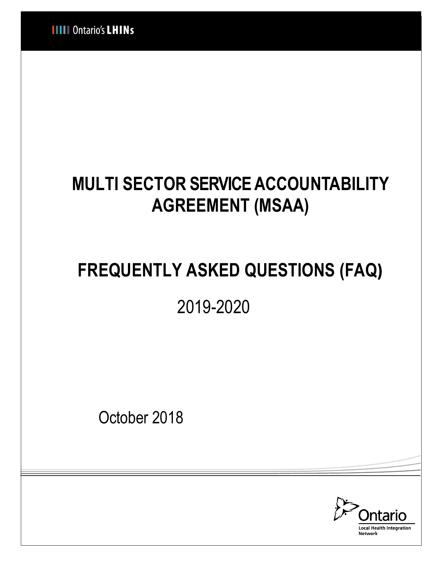# **MULTI SECTOR SERVICE ACCOUNTABILITY AGREEMENT (MSAA)**

# **FREQUENTLY ASKED QUESTIONS (FAQ)**

2019-2020

October 2018

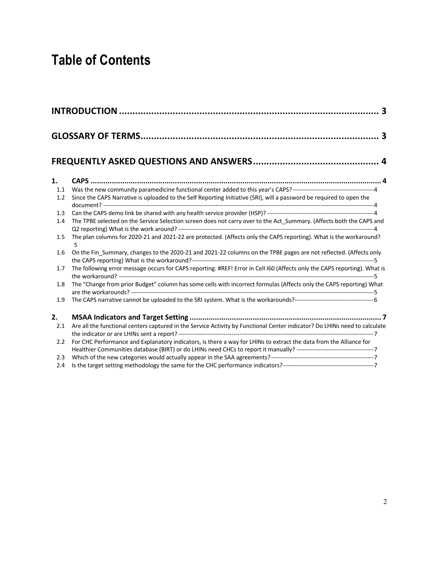## **Table of Contents**

| 1.  |                                                                                                                            |
|-----|----------------------------------------------------------------------------------------------------------------------------|
| 1.1 |                                                                                                                            |
| 1.2 | Since the CAPS Narrative is uploaded to the Self Reporting Initiative (SRI), will a password be required to open the       |
| 1.3 |                                                                                                                            |
| 1.4 | The TPBE selected on the Service Selection screen does not carry over to the Act_Summary. (Affects both the CAPS and       |
|     |                                                                                                                            |
| 1.5 | The plan columns for 2020-21 and 2021-22 are protected. (Affects only the CAPS reporting). What is the workaround?<br>5    |
| 1.6 | On the Fin_Summary, changes to the 2020-21 and 2021-22 columns on the TPBE pages are not reflected. (Affects only          |
| 1.7 | The following error message occurs for CAPS reporting: #REF! Error in Cell I60 (Affects only the CAPS reporting). What is  |
| 1.8 | The "Change from prior Budget" column has some cells with incorrect formulas (Affects only the CAPS reporting) What        |
| 1.9 |                                                                                                                            |
| 2.  |                                                                                                                            |
| 2.1 | Are all the functional centers captured in the Service Activity by Functional Center indicator? Do LHINs need to calculate |
| 2.2 | For CHC Performance and Explanatory indicators, is there a way for LHINs to extract the data from the Alliance for         |
| 2.3 |                                                                                                                            |
| 2.4 |                                                                                                                            |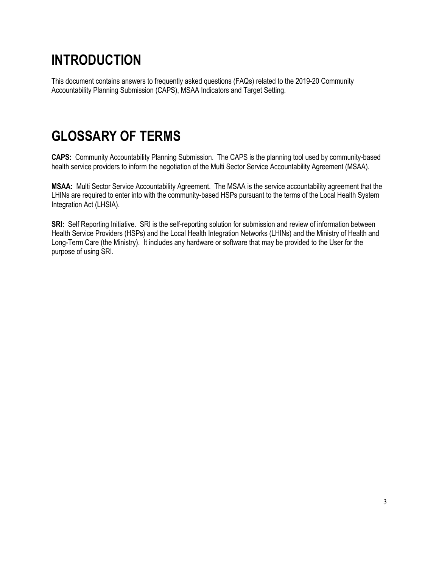# **INTRODUCTION**

This document contains answers to frequently asked questions (FAQs) related to the 2019-20 Community Accountability Planning Submission (CAPS), MSAA Indicators and Target Setting.

## **GLOSSARY OF TERMS**

**CAPS:** Community Accountability Planning Submission. The CAPS is the planning tool used by community-based health service providers to inform the negotiation of the Multi Sector Service Accountability Agreement (MSAA).

**MSAA:** Multi Sector Service Accountability Agreement. The MSAA is the service accountability agreement that the LHINs are required to enter into with the community-based HSPs pursuant to the terms of the Local Health System Integration Act (LHSIA).

**SRI:** Self Reporting Initiative. SRI is the self-reporting solution for submission and review of information between Health Service Providers (HSPs) and the Local Health Integration Networks (LHINs) and the Ministry of Health and Long-Term Care (the Ministry). It includes any hardware or software that may be provided to the User for the purpose of using SRI.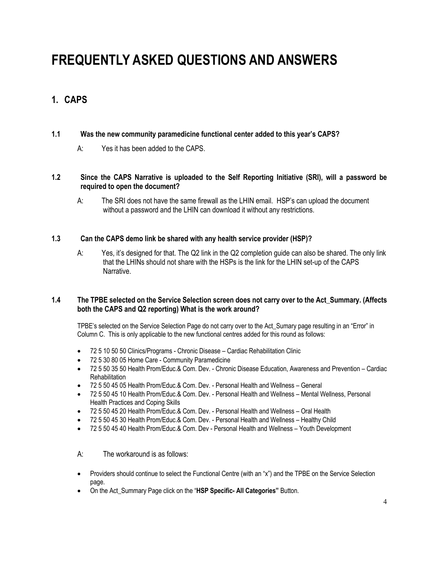## **FREQUENTLY ASKED QUESTIONS AND ANSWERS**

### **1. CAPS**

#### **1.1 Was the new community paramedicine functional center added to this year's CAPS?**

A: Yes it has been added to the CAPS.

#### **1.2 Since the CAPS Narrative is uploaded to the Self Reporting Initiative (SRI), will a password be required to open the document?**

A: The SRI does not have the same firewall as the LHIN email. HSP's can upload the document without a password and the LHIN can download it without any restrictions.

#### **1.3 Can the CAPS demo link be shared with any health service provider (HSP)?**

A: Yes, it's designed for that. The Q2 link in the Q2 completion guide can also be shared. The only link that the LHINs should not share with the HSPs is the link for the LHIN set-up of the CAPS Narrative.

#### **1.4 The TPBE selected on the Service Selection screen does not carry over to the Act\_Summary. (Affects both the CAPS and Q2 reporting) What is the work around?**

TPBE's selected on the Service Selection Page do not carry over to the Act\_Sumary page resulting in an "Error" in Column C. This is only applicable to the new functional centres added for this round as follows:

- 72 5 10 50 50 Clinics/Programs Chronic Disease Cardiac Rehabilitation Clinic
- 72 5 30 80 05 Home Care Community Paramedicine
- 72 5 50 35 50 Health Prom/Educ.& Com. Dev. Chronic Disease Education, Awareness and Prevention Cardiac **Rehabilitation**
- 72 5 50 45 05 Health Prom/Educ.& Com. Dev. Personal Health and Wellness General
- 72 5 50 45 10 Health Prom/Educ.& Com. Dev. Personal Health and Wellness Mental Wellness, Personal Health Practices and Coping Skills
- 72 5 50 45 20 Health Prom/Educ.& Com. Dev. Personal Health and Wellness Oral Health
- 72 5 50 45 30 Health Prom/Educ.& Com. Dev. Personal Health and Wellness Healthy Child
- 72 5 50 45 40 Health Prom/Educ.& Com. Dev Personal Health and Wellness Youth Development
- A: The workaround is as follows:
- Providers should continue to select the Functional Centre (with an "x") and the TPBE on the Service Selection page.
- On the Act\_Summary Page click on the "**HSP Specific- All Categories"** Button.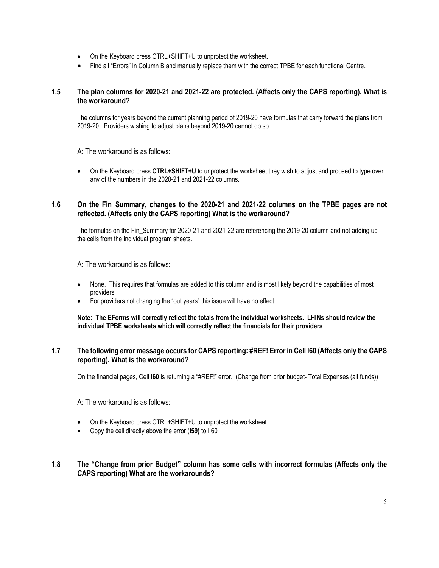- On the Keyboard press CTRL+SHIFT+U to unprotect the worksheet.
- Find all "Errors" in Column B and manually replace them with the correct TPBE for each functional Centre.

#### **1.5 The plan columns for 2020-21 and 2021-22 are protected. (Affects only the CAPS reporting). What is the workaround?**

The columns for years beyond the current planning period of 2019-20 have formulas that carry forward the plans from 2019-20. Providers wishing to adjust plans beyond 2019-20 cannot do so.

A: The workaround is as follows:

• On the Keyboard press **CTRL+SHIFT+U** to unprotect the worksheet they wish to adjust and proceed to type over any of the numbers in the 2020-21 and 2021-22 columns.

#### **1.6 On the Fin\_Summary, changes to the 2020-21 and 2021-22 columns on the TPBE pages are not reflected. (Affects only the CAPS reporting) What is the workaround?**

The formulas on the Fin Summary for 2020-21 and 2021-22 are referencing the 2019-20 column and not adding up the cells from the individual program sheets.

A: The workaround is as follows:

- None. This requires that formulas are added to this column and is most likely beyond the capabilities of most providers
- For providers not changing the "out years" this issue will have no effect

**Note: The EForms will correctly reflect the totals from the individual worksheets. LHINs should review the individual TPBE worksheets which will correctly reflect the financials for their providers**

#### **1.7 The following error message occurs for CAPS reporting: #REF! Error in Cell I60 (Affects only the CAPS reporting). What is the workaround?**

On the financial pages, Cell **I60** is returning a "#REF!" error. (Change from prior budget- Total Expenses (all funds))

A: The workaround is as follows:

- On the Keyboard press CTRL+SHIFT+U to unprotect the worksheet.
- Copy the cell directly above the error (**I59)** to I 60

#### **1.8 The "Change from prior Budget" column has some cells with incorrect formulas (Affects only the CAPS reporting) What are the workarounds?**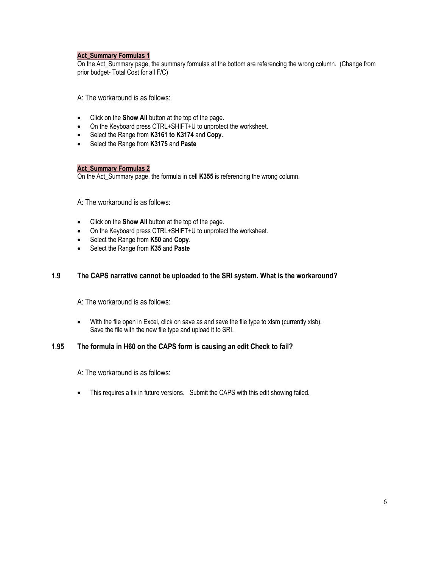#### **Act\_Summary Formulas 1**

On the Act\_Summary page, the summary formulas at the bottom are referencing the wrong column. (Change from prior budget- Total Cost for all F/C)

A: The workaround is as follows:

- Click on the **Show All** button at the top of the page.
- On the Keyboard press CTRL+SHIFT+U to unprotect the worksheet.
- Select the Range from **K3161 to K3174** and **Copy**.
- Select the Range from **K3175** and **Paste**

#### **Act\_Summary Formulas 2**

On the Act\_Summary page, the formula in cell **K355** is referencing the wrong column.

A: The workaround is as follows:

- Click on the **Show All** button at the top of the page.
- On the Keyboard press CTRL+SHIFT+U to unprotect the worksheet.
- Select the Range from **K50** and **Copy**.
- Select the Range from **K35** and **Paste**

#### **1.9 The CAPS narrative cannot be uploaded to the SRI system. What is the workaround?**

A: The workaround is as follows:

• With the file open in Excel, click on save as and save the file type to xlsm (currently xlsb). Save the file with the new file type and upload it to SRI.

#### **1.95 The formula in H60 on the CAPS form is causing an edit Check to fail?**

A: The workaround is as follows:

• This requires a fix in future versions. Submit the CAPS with this edit showing failed.